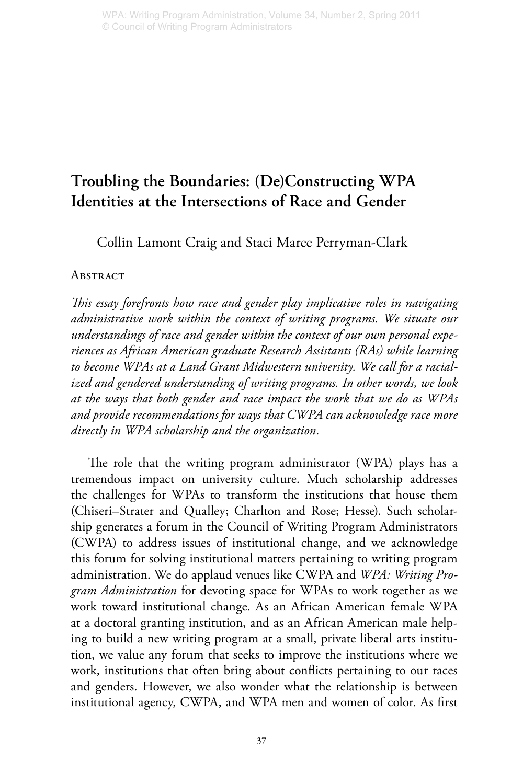# **Troubling the Boundaries: (De)Constructing WPA Identities at the Intersections of Race and Gender**

Collin Lamont Craig and Staci Maree Perryman-Clark

# **ABSTRACT**

*This essay forefronts how race and gender play implicative roles in navigating administrative work within the context of writing programs. We situate our understandings of race and gender within the context of our own personal experiences as African American graduate Research Assistants (RAs) while learning to become WPAs at a Land Grant Midwestern university. We call for a racialized and gendered understanding of writing programs. In other words, we look at the ways that both gender and race impact the work that we do as WPAs and provide recommendations for ways that CWPA can acknowledge race more directly in WPA scholarship and the organization.*

The role that the writing program administrator (WPA) plays has a tremendous impact on university culture. Much scholarship addresses the challenges for WPAs to transform the institutions that house them (Chiseri–Strater and Qualley; Charlton and Rose; Hesse). Such scholarship generates a forum in the Council of Writing Program Administrators (CWPA) to address issues of institutional change, and we acknowledge this forum for solving institutional matters pertaining to writing program administration. We do applaud venues like CWPA and *WPA: Writing Program Administration* for devoting space for WPAs to work together as we work toward institutional change. As an African American female WPA at a doctoral granting institution, and as an African American male helping to build a new writing program at a small, private liberal arts institution, we value any forum that seeks to improve the institutions where we work, institutions that often bring about conflicts pertaining to our races and genders. However, we also wonder what the relationship is between institutional agency, CWPA, and WPA men and women of color. As first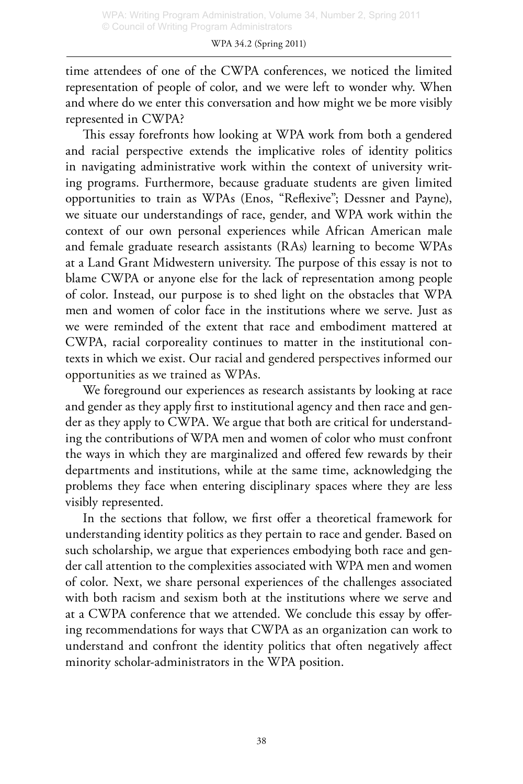time attendees of one of the CWPA conferences, we noticed the limited representation of people of color, and we were left to wonder why. When and where do we enter this conversation and how might we be more visibly represented in CWPA?

This essay forefronts how looking at WPA work from both a gendered and racial perspective extends the implicative roles of identity politics in navigating administrative work within the context of university writing programs. Furthermore, because graduate students are given limited opportunities to train as WPAs (Enos, "Reflexive"; Dessner and Payne), we situate our understandings of race, gender, and WPA work within the context of our own personal experiences while African American male and female graduate research assistants (RAs) learning to become WPAs at a Land Grant Midwestern university. The purpose of this essay is not to blame CWPA or anyone else for the lack of representation among people of color. Instead, our purpose is to shed light on the obstacles that WPA men and women of color face in the institutions where we serve. Just as we were reminded of the extent that race and embodiment mattered at CWPA, racial corporeality continues to matter in the institutional contexts in which we exist. Our racial and gendered perspectives informed our opportunities as we trained as WPAs.

We foreground our experiences as research assistants by looking at race and gender as they apply first to institutional agency and then race and gender as they apply to CWPA. We argue that both are critical for understanding the contributions of WPA men and women of color who must confront the ways in which they are marginalized and offered few rewards by their departments and institutions, while at the same time, acknowledging the problems they face when entering disciplinary spaces where they are less visibly represented.

In the sections that follow, we first offer a theoretical framework for understanding identity politics as they pertain to race and gender. Based on such scholarship, we argue that experiences embodying both race and gender call attention to the complexities associated with WPA men and women of color. Next, we share personal experiences of the challenges associated with both racism and sexism both at the institutions where we serve and at a CWPA conference that we attended. We conclude this essay by offering recommendations for ways that CWPA as an organization can work to understand and confront the identity politics that often negatively affect minority scholar-administrators in the WPA position.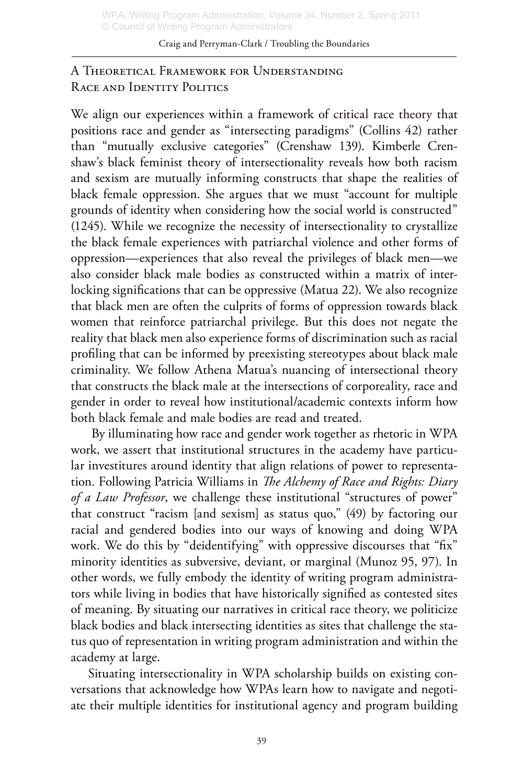# A Theoretical Framework for Understanding RACE AND IDENTITY POLITICS

We align our experiences within a framework of critical race theory that positions race and gender as "intersecting paradigms" (Collins 42) rather than "mutually exclusive categories" (Crenshaw 139). Kimberle Crenshaw's black feminist theory of intersectionality reveals how both racism and sexism are mutually informing constructs that shape the realities of black female oppression. She argues that we must "account for multiple grounds of identity when considering how the social world is constructed" (1245). While we recognize the necessity of intersectionality to crystallize the black female experiences with patriarchal violence and other forms of oppression—experiences that also reveal the privileges of black men—we also consider black male bodies as constructed within a matrix of interlocking significations that can be oppressive (Matua 22). We also recognize that black men are often the culprits of forms of oppression towards black women that reinforce patriarchal privilege. But this does not negate the reality that black men also experience forms of discrimination such as racial profiling that can be informed by preexisting stereotypes about black male criminality. We follow Athena Matua's nuancing of intersectional theory that constructs the black male at the intersections of corporeality, race and gender in order to reveal how institutional/academic contexts inform how both black female and male bodies are read and treated.

 By illuminating how race and gender work together as rhetoric in WPA work, we assert that institutional structures in the academy have particular investitures around identity that align relations of power to representation. Following Patricia Williams in *The Alchemy of Race and Rights: Diary of a Law Professor*, we challenge these institutional "structures of power" that construct "racism [and sexism] as status quo," (49) by factoring our racial and gendered bodies into our ways of knowing and doing WPA work. We do this by "deidentifying" with oppressive discourses that "fix" minority identities as subversive, deviant, or marginal (Munoz 95, 97). In other words, we fully embody the identity of writing program administrators while living in bodies that have historically signified as contested sites of meaning. By situating our narratives in critical race theory, we politicize black bodies and black intersecting identities as sites that challenge the status quo of representation in writing program administration and within the academy at large.

Situating intersectionality in WPA scholarship builds on existing conversations that acknowledge how WPAs learn how to navigate and negotiate their multiple identities for institutional agency and program building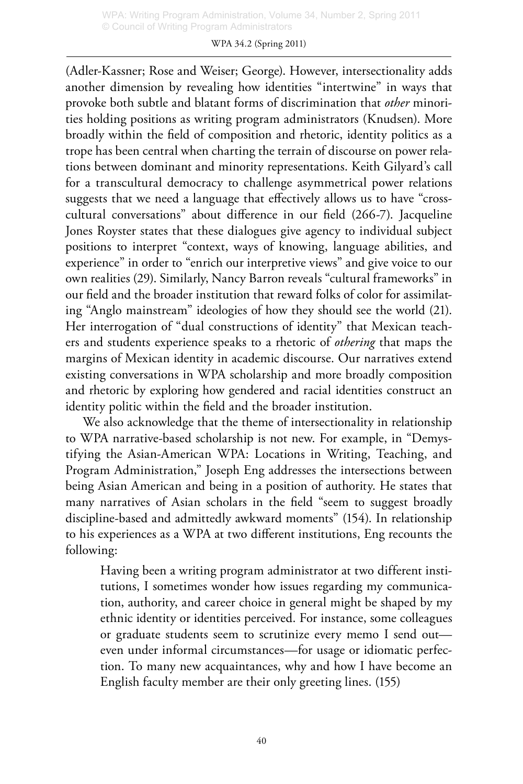#### WPA 34.2 (Spring 2011)

(Adler-Kassner; Rose and Weiser; George). However, intersectionality adds another dimension by revealing how identities "intertwine" in ways that provoke both subtle and blatant forms of discrimination that *other* minorities holding positions as writing program administrators (Knudsen). More broadly within the field of composition and rhetoric, identity politics as a trope has been central when charting the terrain of discourse on power relations between dominant and minority representations. Keith Gilyard's call for a transcultural democracy to challenge asymmetrical power relations suggests that we need a language that effectively allows us to have "crosscultural conversations" about difference in our field (266-7). Jacqueline Jones Royster states that these dialogues give agency to individual subject positions to interpret "context, ways of knowing, language abilities, and experience" in order to "enrich our interpretive views" and give voice to our own realities (29). Similarly, Nancy Barron reveals "cultural frameworks" in our field and the broader institution that reward folks of color for assimilating "Anglo mainstream" ideologies of how they should see the world (21). Her interrogation of "dual constructions of identity" that Mexican teachers and students experience speaks to a rhetoric of *othering* that maps the margins of Mexican identity in academic discourse. Our narratives extend existing conversations in WPA scholarship and more broadly composition and rhetoric by exploring how gendered and racial identities construct an identity politic within the field and the broader institution.

We also acknowledge that the theme of intersectionality in relationship to WPA narrative-based scholarship is not new. For example, in "Demystifying the Asian-American WPA: Locations in Writing, Teaching, and Program Administration," Joseph Eng addresses the intersections between being Asian American and being in a position of authority. He states that many narratives of Asian scholars in the field "seem to suggest broadly discipline-based and admittedly awkward moments" (154). In relationship to his experiences as a WPA at two different institutions, Eng recounts the following:

Having been a writing program administrator at two different institutions, I sometimes wonder how issues regarding my communication, authority, and career choice in general might be shaped by my ethnic identity or identities perceived. For instance, some colleagues or graduate students seem to scrutinize every memo I send out even under informal circumstances—for usage or idiomatic perfection. To many new acquaintances, why and how I have become an English faculty member are their only greeting lines. (155)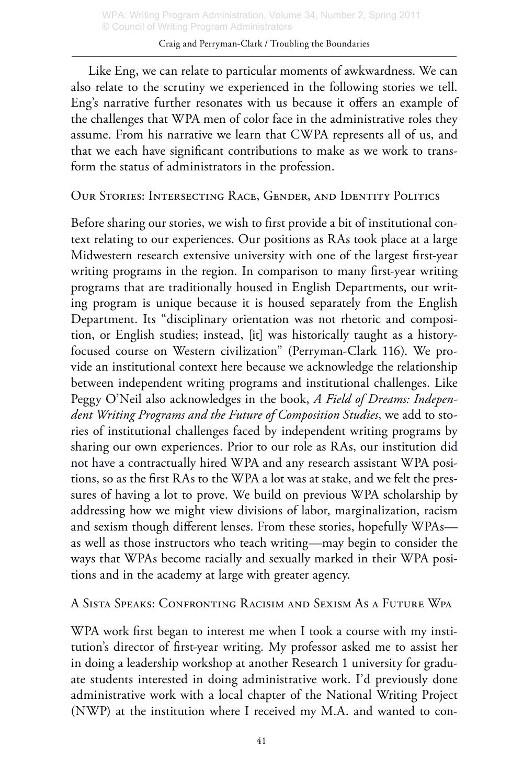Like Eng, we can relate to particular moments of awkwardness. We can also relate to the scrutiny we experienced in the following stories we tell. Eng's narrative further resonates with us because it offers an example of the challenges that WPA men of color face in the administrative roles they assume. From his narrative we learn that CWPA represents all of us, and that we each have significant contributions to make as we work to transform the status of administrators in the profession.

Our Stories: Intersecting Race, Gender, and Identity Politics

Before sharing our stories, we wish to first provide a bit of institutional context relating to our experiences. Our positions as RAs took place at a large Midwestern research extensive university with one of the largest first-year writing programs in the region. In comparison to many first-year writing programs that are traditionally housed in English Departments, our writing program is unique because it is housed separately from the English Department. Its "disciplinary orientation was not rhetoric and composition, or English studies; instead, [it] was historically taught as a historyfocused course on Western civilization" (Perryman-Clark 116). We provide an institutional context here because we acknowledge the relationship between independent writing programs and institutional challenges. Like Peggy O'Neil also acknowledges in the book, *A Field of Dreams: Independent Writing Programs and the Future of Composition Studies*, we add to stories of institutional challenges faced by independent writing programs by sharing our own experiences. Prior to our role as RAs, our institution did not have a contractually hired WPA and any research assistant WPA positions, so as the first RAs to the WPA a lot was at stake, and we felt the pressures of having a lot to prove. We build on previous WPA scholarship by addressing how we might view divisions of labor, marginalization, racism and sexism though different lenses. From these stories, hopefully WPAs as well as those instructors who teach writing—may begin to consider the ways that WPAs become racially and sexually marked in their WPA positions and in the academy at large with greater agency.

A Sista Speaks: Confronting Racisim and Sexism As a Future Wpa

WPA work first began to interest me when I took a course with my institution's director of first-year writing. My professor asked me to assist her in doing a leadership workshop at another Research 1 university for graduate students interested in doing administrative work. I'd previously done administrative work with a local chapter of the National Writing Project (NWP) at the institution where I received my M.A. and wanted to con-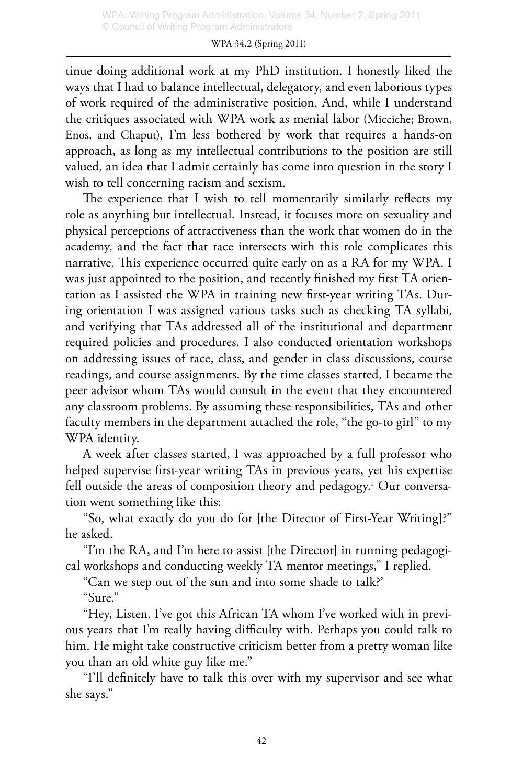tinue doing additional work at my PhD institution. I honestly liked the ways that I had to balance intellectual, delegatory, and even laborious types of work required of the administrative position. And, while I understand the critiques associated with WPA work as menial labor (Micciche; Brown, Enos, and Chaput), I'm less bothered by work that requires a hands-on approach, as long as my intellectual contributions to the position are still valued, an idea that I admit certainly has come into question in the story I wish to tell concerning racism and sexism.

The experience that I wish to tell momentarily similarly reflects my role as anything but intellectual. Instead, it focuses more on sexuality and physical perceptions of attractiveness than the work that women do in the academy, and the fact that race intersects with this role complicates this narrative. This experience occurred quite early on as a RA for my WPA. I was just appointed to the position, and recently finished my first TA orientation as I assisted the WPA in training new first-year writing TAs. During orientation I was assigned various tasks such as checking TA syllabi, and verifying that TAs addressed all of the institutional and department required policies and procedures. I also conducted orientation workshops on addressing issues of race, class, and gender in class discussions, course readings, and course assignments. By the time classes started, I became the peer advisor whom TAs would consult in the event that they encountered any classroom problems. By assuming these responsibilities, TAs and other faculty members in the department attached the role, "the go-to girl" to my WPA identity.

A week after classes started, I was approached by a full professor who helped supervise first-year writing TAs in previous years, yet his expertise fell outside the areas of composition theory and pedagogy.1 Our conversation went something like this:

"So, what exactly do you do for [the Director of First-Year Writing]?" he asked.

"I'm the RA, and I'm here to assist [the Director] in running pedagogical workshops and conducting weekly TA mentor meetings," I replied.

"Can we step out of the sun and into some shade to talk?'

"Sure."

"Hey, Listen. I've got this African TA whom I've worked with in previous years that I'm really having difficulty with. Perhaps you could talk to him. He might take constructive criticism better from a pretty woman like you than an old white guy like me."

"I'll definitely have to talk this over with my supervisor and see what she says."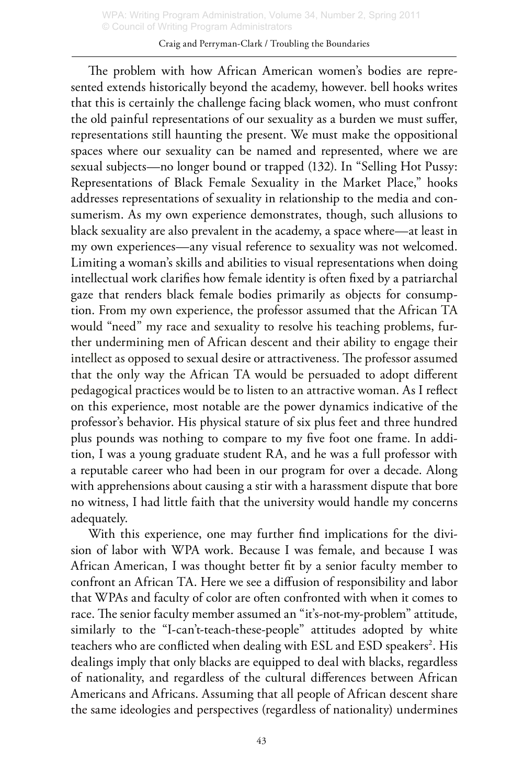#### Craig and Perryman-Clark / Troubling the Boundaries

The problem with how African American women's bodies are represented extends historically beyond the academy, however. bell hooks writes that this is certainly the challenge facing black women, who must confront the old painful representations of our sexuality as a burden we must suffer, representations still haunting the present. We must make the oppositional spaces where our sexuality can be named and represented, where we are sexual subjects—no longer bound or trapped (132). In "Selling Hot Pussy: Representations of Black Female Sexuality in the Market Place," hooks addresses representations of sexuality in relationship to the media and consumerism. As my own experience demonstrates, though, such allusions to black sexuality are also prevalent in the academy, a space where—at least in my own experiences—any visual reference to sexuality was not welcomed. Limiting a woman's skills and abilities to visual representations when doing intellectual work clarifies how female identity is often fixed by a patriarchal gaze that renders black female bodies primarily as objects for consumption. From my own experience, the professor assumed that the African TA would "need" my race and sexuality to resolve his teaching problems, further undermining men of African descent and their ability to engage their intellect as opposed to sexual desire or attractiveness. The professor assumed that the only way the African TA would be persuaded to adopt different pedagogical practices would be to listen to an attractive woman. As I reflect on this experience, most notable are the power dynamics indicative of the professor's behavior. His physical stature of six plus feet and three hundred plus pounds was nothing to compare to my five foot one frame. In addition, I was a young graduate student RA, and he was a full professor with a reputable career who had been in our program for over a decade. Along with apprehensions about causing a stir with a harassment dispute that bore no witness, I had little faith that the university would handle my concerns adequately.

With this experience, one may further find implications for the division of labor with WPA work. Because I was female, and because I was African American, I was thought better fit by a senior faculty member to confront an African TA. Here we see a diffusion of responsibility and labor that WPAs and faculty of color are often confronted with when it comes to race. The senior faculty member assumed an "it's-not-my-problem" attitude, similarly to the "I-can't-teach-these-people" attitudes adopted by white teachers who are conflicted when dealing with ESL and ESD speakers<sup>2</sup>. His dealings imply that only blacks are equipped to deal with blacks, regardless of nationality, and regardless of the cultural differences between African Americans and Africans. Assuming that all people of African descent share the same ideologies and perspectives (regardless of nationality) undermines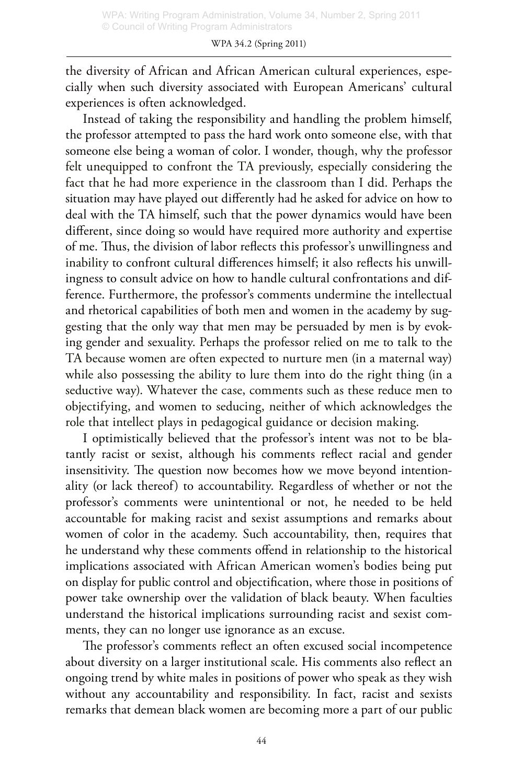the diversity of African and African American cultural experiences, especially when such diversity associated with European Americans' cultural experiences is often acknowledged.

Instead of taking the responsibility and handling the problem himself, the professor attempted to pass the hard work onto someone else, with that someone else being a woman of color. I wonder, though, why the professor felt unequipped to confront the TA previously, especially considering the fact that he had more experience in the classroom than I did. Perhaps the situation may have played out differently had he asked for advice on how to deal with the TA himself, such that the power dynamics would have been different, since doing so would have required more authority and expertise of me. Thus, the division of labor reflects this professor's unwillingness and inability to confront cultural differences himself; it also reflects his unwillingness to consult advice on how to handle cultural confrontations and difference. Furthermore, the professor's comments undermine the intellectual and rhetorical capabilities of both men and women in the academy by suggesting that the only way that men may be persuaded by men is by evoking gender and sexuality. Perhaps the professor relied on me to talk to the TA because women are often expected to nurture men (in a maternal way) while also possessing the ability to lure them into do the right thing (in a seductive way). Whatever the case, comments such as these reduce men to objectifying, and women to seducing, neither of which acknowledges the role that intellect plays in pedagogical guidance or decision making.

I optimistically believed that the professor's intent was not to be blatantly racist or sexist, although his comments reflect racial and gender insensitivity. The question now becomes how we move beyond intentionality (or lack thereof) to accountability. Regardless of whether or not the professor's comments were unintentional or not, he needed to be held accountable for making racist and sexist assumptions and remarks about women of color in the academy. Such accountability, then, requires that he understand why these comments offend in relationship to the historical implications associated with African American women's bodies being put on display for public control and objectification, where those in positions of power take ownership over the validation of black beauty. When faculties understand the historical implications surrounding racist and sexist comments, they can no longer use ignorance as an excuse.

The professor's comments reflect an often excused social incompetence about diversity on a larger institutional scale. His comments also reflect an ongoing trend by white males in positions of power who speak as they wish without any accountability and responsibility. In fact, racist and sexists remarks that demean black women are becoming more a part of our public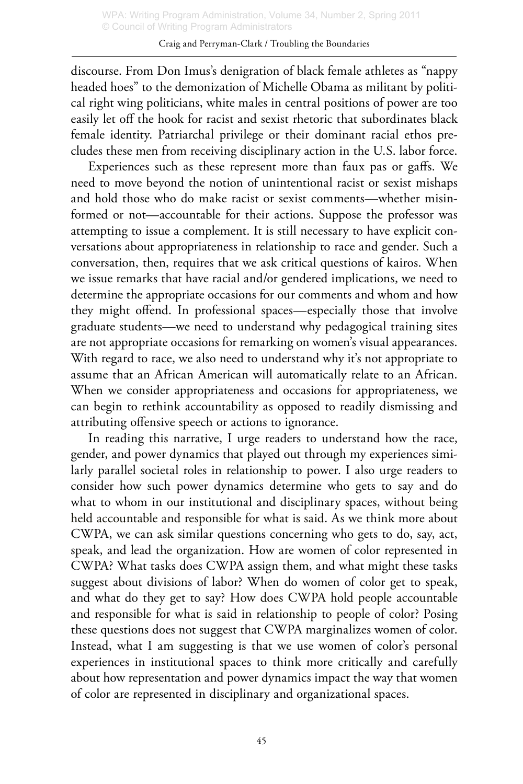#### Craig and Perryman-Clark / Troubling the Boundaries

discourse. From Don Imus's denigration of black female athletes as "nappy headed hoes" to the demonization of Michelle Obama as militant by political right wing politicians, white males in central positions of power are too easily let off the hook for racist and sexist rhetoric that subordinates black female identity. Patriarchal privilege or their dominant racial ethos precludes these men from receiving disciplinary action in the U.S. labor force.

Experiences such as these represent more than faux pas or gaffs. We need to move beyond the notion of unintentional racist or sexist mishaps and hold those who do make racist or sexist comments—whether misinformed or not—accountable for their actions. Suppose the professor was attempting to issue a complement. It is still necessary to have explicit conversations about appropriateness in relationship to race and gender. Such a conversation, then, requires that we ask critical questions of kairos. When we issue remarks that have racial and/or gendered implications, we need to determine the appropriate occasions for our comments and whom and how they might offend. In professional spaces—especially those that involve graduate students—we need to understand why pedagogical training sites are not appropriate occasions for remarking on women's visual appearances. With regard to race, we also need to understand why it's not appropriate to assume that an African American will automatically relate to an African. When we consider appropriateness and occasions for appropriateness, we can begin to rethink accountability as opposed to readily dismissing and attributing offensive speech or actions to ignorance.

In reading this narrative, I urge readers to understand how the race, gender, and power dynamics that played out through my experiences similarly parallel societal roles in relationship to power. I also urge readers to consider how such power dynamics determine who gets to say and do what to whom in our institutional and disciplinary spaces, without being held accountable and responsible for what is said. As we think more about CWPA, we can ask similar questions concerning who gets to do, say, act, speak, and lead the organization. How are women of color represented in CWPA? What tasks does CWPA assign them, and what might these tasks suggest about divisions of labor? When do women of color get to speak, and what do they get to say? How does CWPA hold people accountable and responsible for what is said in relationship to people of color? Posing these questions does not suggest that CWPA marginalizes women of color. Instead, what I am suggesting is that we use women of color's personal experiences in institutional spaces to think more critically and carefully about how representation and power dynamics impact the way that women of color are represented in disciplinary and organizational spaces.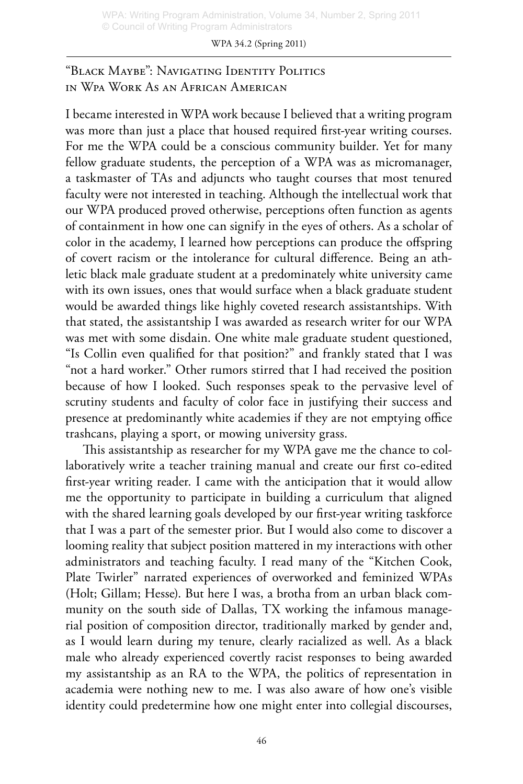#### WPA 34.2 (Spring 2011)

"Black Maybe": Navigating Identity Politics in Wpa Work As an African American

I became interested in WPA work because I believed that a writing program was more than just a place that housed required first-year writing courses. For me the WPA could be a conscious community builder. Yet for many fellow graduate students, the perception of a WPA was as micromanager, a taskmaster of TAs and adjuncts who taught courses that most tenured faculty were not interested in teaching. Although the intellectual work that our WPA produced proved otherwise, perceptions often function as agents of containment in how one can signify in the eyes of others. As a scholar of color in the academy, I learned how perceptions can produce the offspring of covert racism or the intolerance for cultural difference. Being an athletic black male graduate student at a predominately white university came with its own issues, ones that would surface when a black graduate student would be awarded things like highly coveted research assistantships. With that stated, the assistantship I was awarded as research writer for our WPA was met with some disdain. One white male graduate student questioned, "Is Collin even qualified for that position?" and frankly stated that I was "not a hard worker." Other rumors stirred that I had received the position because of how I looked. Such responses speak to the pervasive level of scrutiny students and faculty of color face in justifying their success and presence at predominantly white academies if they are not emptying office trashcans, playing a sport, or mowing university grass.

This assistantship as researcher for my WPA gave me the chance to collaboratively write a teacher training manual and create our first co-edited first-year writing reader. I came with the anticipation that it would allow me the opportunity to participate in building a curriculum that aligned with the shared learning goals developed by our first-year writing taskforce that I was a part of the semester prior. But I would also come to discover a looming reality that subject position mattered in my interactions with other administrators and teaching faculty. I read many of the "Kitchen Cook, Plate Twirler" narrated experiences of overworked and feminized WPAs (Holt; Gillam; Hesse). But here I was, a brotha from an urban black community on the south side of Dallas, TX working the infamous managerial position of composition director, traditionally marked by gender and, as I would learn during my tenure, clearly racialized as well. As a black male who already experienced covertly racist responses to being awarded my assistantship as an RA to the WPA, the politics of representation in academia were nothing new to me. I was also aware of how one's visible identity could predetermine how one might enter into collegial discourses,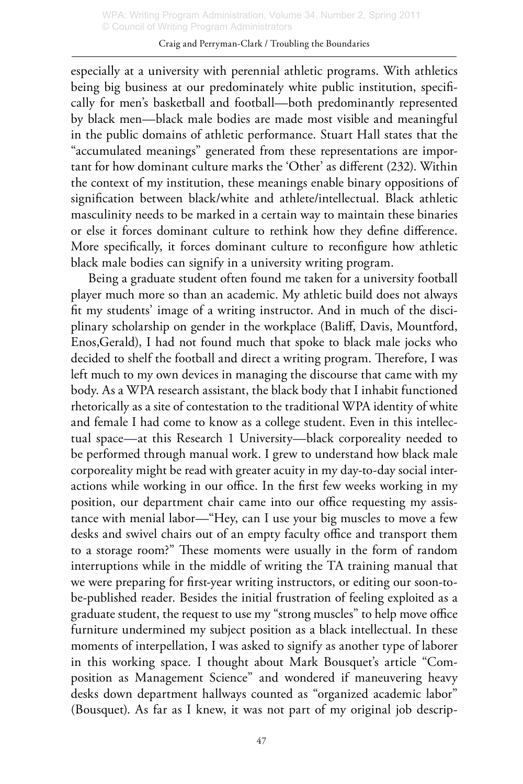#### Craig and Perryman-Clark / Troubling the Boundaries

especially at a university with perennial athletic programs. With athletics being big business at our predominately white public institution, specifically for men's basketball and football—both predominantly represented by black men—black male bodies are made most visible and meaningful in the public domains of athletic performance. Stuart Hall states that the "accumulated meanings" generated from these representations are important for how dominant culture marks the 'Other' as different (232). Within the context of my institution, these meanings enable binary oppositions of signification between black/white and athlete/intellectual. Black athletic masculinity needs to be marked in a certain way to maintain these binaries or else it forces dominant culture to rethink how they define difference. More specifically, it forces dominant culture to reconfigure how athletic black male bodies can signify in a university writing program.

Being a graduate student often found me taken for a university football player much more so than an academic. My athletic build does not always fit my students' image of a writing instructor. And in much of the disciplinary scholarship on gender in the workplace (Baliff, Davis, Mountford, Enos,Gerald), I had not found much that spoke to black male jocks who decided to shelf the football and direct a writing program. Therefore, I was left much to my own devices in managing the discourse that came with my body. As a WPA research assistant, the black body that I inhabit functioned rhetorically as a site of contestation to the traditional WPA identity of white and female I had come to know as a college student. Even in this intellectual space—at this Research 1 University—black corporeality needed to be performed through manual work. I grew to understand how black male corporeality might be read with greater acuity in my day-to-day social interactions while working in our office. In the first few weeks working in my position, our department chair came into our office requesting my assistance with menial labor—"Hey, can I use your big muscles to move a few desks and swivel chairs out of an empty faculty office and transport them to a storage room?" These moments were usually in the form of random interruptions while in the middle of writing the TA training manual that we were preparing for first-year writing instructors, or editing our soon-tobe-published reader. Besides the initial frustration of feeling exploited as a graduate student, the request to use my "strong muscles" to help move office furniture undermined my subject position as a black intellectual. In these moments of interpellation, I was asked to signify as another type of laborer in this working space. I thought about Mark Bousquet's article "Composition as Management Science" and wondered if maneuvering heavy desks down department hallways counted as "organized academic labor" (Bousquet). As far as I knew, it was not part of my original job descrip-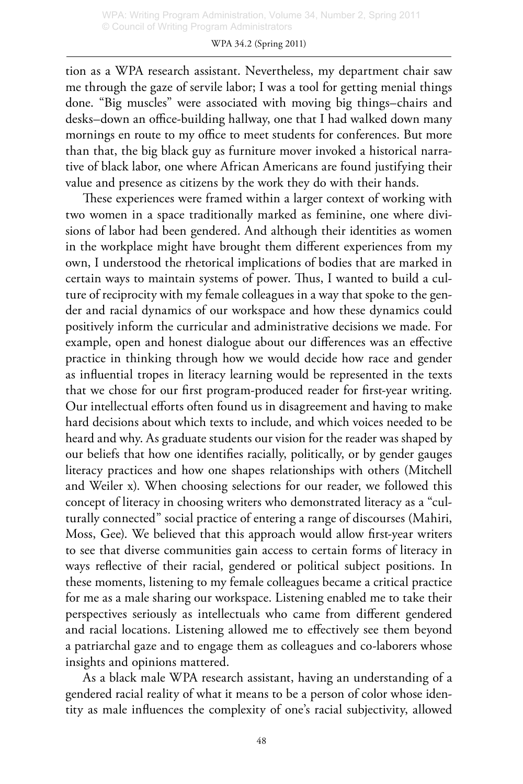tion as a WPA research assistant. Nevertheless, my department chair saw me through the gaze of servile labor; I was a tool for getting menial things done. "Big muscles" were associated with moving big things–chairs and desks–down an office-building hallway, one that I had walked down many mornings en route to my office to meet students for conferences. But more than that, the big black guy as furniture mover invoked a historical narrative of black labor, one where African Americans are found justifying their value and presence as citizens by the work they do with their hands.

These experiences were framed within a larger context of working with two women in a space traditionally marked as feminine, one where divisions of labor had been gendered. And although their identities as women in the workplace might have brought them different experiences from my own, I understood the rhetorical implications of bodies that are marked in certain ways to maintain systems of power. Thus, I wanted to build a culture of reciprocity with my female colleagues in a way that spoke to the gender and racial dynamics of our workspace and how these dynamics could positively inform the curricular and administrative decisions we made. For example, open and honest dialogue about our differences was an effective practice in thinking through how we would decide how race and gender as influential tropes in literacy learning would be represented in the texts that we chose for our first program-produced reader for first-year writing. Our intellectual efforts often found us in disagreement and having to make hard decisions about which texts to include, and which voices needed to be heard and why. As graduate students our vision for the reader was shaped by our beliefs that how one identifies racially, politically, or by gender gauges literacy practices and how one shapes relationships with others (Mitchell and Weiler x). When choosing selections for our reader, we followed this concept of literacy in choosing writers who demonstrated literacy as a "culturally connected" social practice of entering a range of discourses (Mahiri, Moss, Gee). We believed that this approach would allow first-year writers to see that diverse communities gain access to certain forms of literacy in ways reflective of their racial, gendered or political subject positions. In these moments, listening to my female colleagues became a critical practice for me as a male sharing our workspace. Listening enabled me to take their perspectives seriously as intellectuals who came from different gendered and racial locations. Listening allowed me to effectively see them beyond a patriarchal gaze and to engage them as colleagues and co-laborers whose insights and opinions mattered.

As a black male WPA research assistant, having an understanding of a gendered racial reality of what it means to be a person of color whose identity as male influences the complexity of one's racial subjectivity, allowed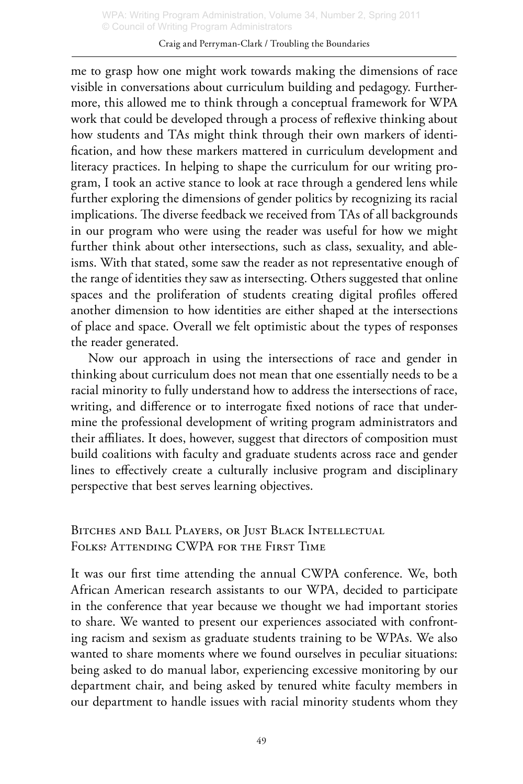#### Craig and Perryman-Clark / Troubling the Boundaries

me to grasp how one might work towards making the dimensions of race visible in conversations about curriculum building and pedagogy. Furthermore, this allowed me to think through a conceptual framework for WPA work that could be developed through a process of reflexive thinking about how students and TAs might think through their own markers of identification, and how these markers mattered in curriculum development and literacy practices. In helping to shape the curriculum for our writing program, I took an active stance to look at race through a gendered lens while further exploring the dimensions of gender politics by recognizing its racial implications. The diverse feedback we received from TAs of all backgrounds in our program who were using the reader was useful for how we might further think about other intersections, such as class, sexuality, and ableisms. With that stated, some saw the reader as not representative enough of the range of identities they saw as intersecting. Others suggested that online spaces and the proliferation of students creating digital profiles offered another dimension to how identities are either shaped at the intersections of place and space. Overall we felt optimistic about the types of responses the reader generated.

Now our approach in using the intersections of race and gender in thinking about curriculum does not mean that one essentially needs to be a racial minority to fully understand how to address the intersections of race, writing, and difference or to interrogate fixed notions of race that undermine the professional development of writing program administrators and their affiliates. It does, however, suggest that directors of composition must build coalitions with faculty and graduate students across race and gender lines to effectively create a culturally inclusive program and disciplinary perspective that best serves learning objectives.

Bitches and Ball Players, or Just Black Intellectual Folks? Attending CWPA for the First Time

It was our first time attending the annual CWPA conference. We, both African American research assistants to our WPA, decided to participate in the conference that year because we thought we had important stories to share. We wanted to present our experiences associated with confronting racism and sexism as graduate students training to be WPAs. We also wanted to share moments where we found ourselves in peculiar situations: being asked to do manual labor, experiencing excessive monitoring by our department chair, and being asked by tenured white faculty members in our department to handle issues with racial minority students whom they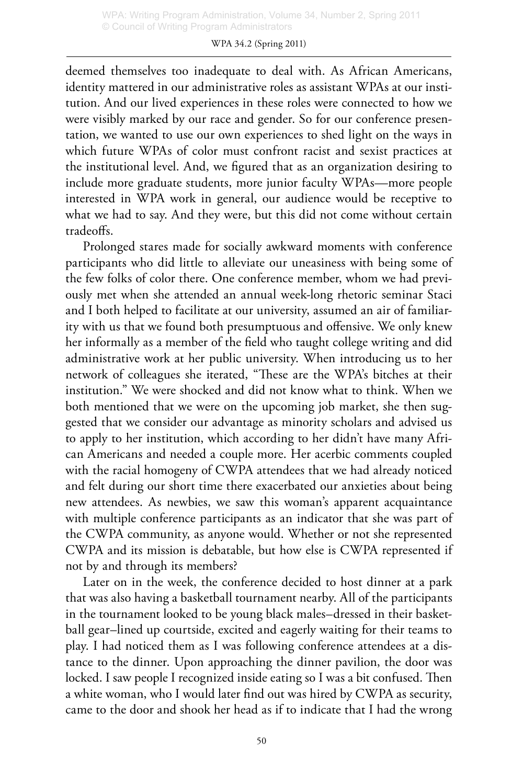deemed themselves too inadequate to deal with. As African Americans, identity mattered in our administrative roles as assistant WPAs at our institution. And our lived experiences in these roles were connected to how we were visibly marked by our race and gender. So for our conference presentation, we wanted to use our own experiences to shed light on the ways in which future WPAs of color must confront racist and sexist practices at the institutional level. And, we figured that as an organization desiring to include more graduate students, more junior faculty WPAs—more people interested in WPA work in general, our audience would be receptive to what we had to say. And they were, but this did not come without certain tradeoffs.

Prolonged stares made for socially awkward moments with conference participants who did little to alleviate our uneasiness with being some of the few folks of color there. One conference member, whom we had previously met when she attended an annual week-long rhetoric seminar Staci and I both helped to facilitate at our university, assumed an air of familiarity with us that we found both presumptuous and offensive. We only knew her informally as a member of the field who taught college writing and did administrative work at her public university. When introducing us to her network of colleagues she iterated, "These are the WPA's bitches at their institution." We were shocked and did not know what to think. When we both mentioned that we were on the upcoming job market, she then suggested that we consider our advantage as minority scholars and advised us to apply to her institution, which according to her didn't have many African Americans and needed a couple more. Her acerbic comments coupled with the racial homogeny of CWPA attendees that we had already noticed and felt during our short time there exacerbated our anxieties about being new attendees. As newbies, we saw this woman's apparent acquaintance with multiple conference participants as an indicator that she was part of the CWPA community, as anyone would. Whether or not she represented CWPA and its mission is debatable, but how else is CWPA represented if not by and through its members?

Later on in the week, the conference decided to host dinner at a park that was also having a basketball tournament nearby. All of the participants in the tournament looked to be young black males–dressed in their basketball gear–lined up courtside, excited and eagerly waiting for their teams to play. I had noticed them as I was following conference attendees at a distance to the dinner. Upon approaching the dinner pavilion, the door was locked. I saw people I recognized inside eating so I was a bit confused. Then a white woman, who I would later find out was hired by CWPA as security, came to the door and shook her head as if to indicate that I had the wrong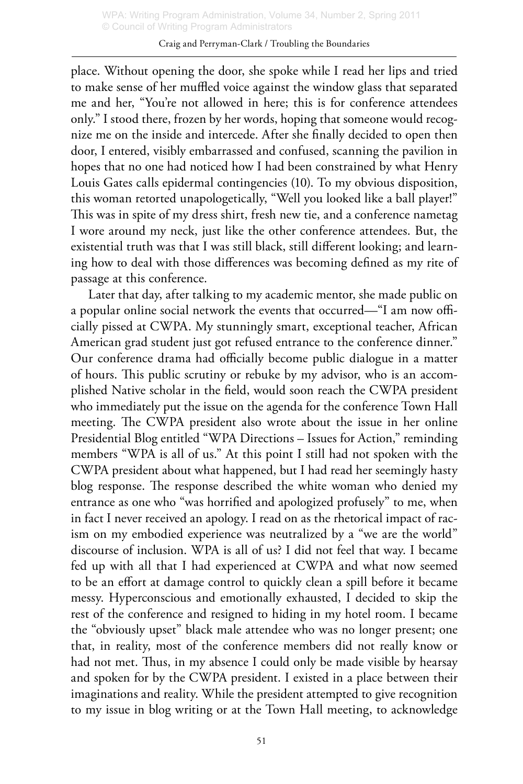#### Craig and Perryman-Clark / Troubling the Boundaries

place. Without opening the door, she spoke while I read her lips and tried to make sense of her muffled voice against the window glass that separated me and her, "You're not allowed in here; this is for conference attendees only." I stood there, frozen by her words, hoping that someone would recognize me on the inside and intercede. After she finally decided to open then door, I entered, visibly embarrassed and confused, scanning the pavilion in hopes that no one had noticed how I had been constrained by what Henry Louis Gates calls epidermal contingencies (10). To my obvious disposition, this woman retorted unapologetically, "Well you looked like a ball player!" This was in spite of my dress shirt, fresh new tie, and a conference nametag I wore around my neck, just like the other conference attendees. But, the existential truth was that I was still black, still different looking; and learning how to deal with those differences was becoming defined as my rite of passage at this conference.

Later that day, after talking to my academic mentor, she made public on a popular online social network the events that occurred—"I am now officially pissed at CWPA. My stunningly smart, exceptional teacher, African American grad student just got refused entrance to the conference dinner." Our conference drama had officially become public dialogue in a matter of hours. This public scrutiny or rebuke by my advisor, who is an accomplished Native scholar in the field, would soon reach the CWPA president who immediately put the issue on the agenda for the conference Town Hall meeting. The CWPA president also wrote about the issue in her online Presidential Blog entitled "WPA Directions – Issues for Action," reminding members "WPA is all of us." At this point I still had not spoken with the CWPA president about what happened, but I had read her seemingly hasty blog response. The response described the white woman who denied my entrance as one who "was horrified and apologized profusely" to me, when in fact I never received an apology. I read on as the rhetorical impact of racism on my embodied experience was neutralized by a "we are the world" discourse of inclusion. WPA is all of us? I did not feel that way. I became fed up with all that I had experienced at CWPA and what now seemed to be an effort at damage control to quickly clean a spill before it became messy. Hyperconscious and emotionally exhausted, I decided to skip the rest of the conference and resigned to hiding in my hotel room. I became the "obviously upset" black male attendee who was no longer present; one that, in reality, most of the conference members did not really know or had not met. Thus, in my absence I could only be made visible by hearsay and spoken for by the CWPA president. I existed in a place between their imaginations and reality. While the president attempted to give recognition to my issue in blog writing or at the Town Hall meeting, to acknowledge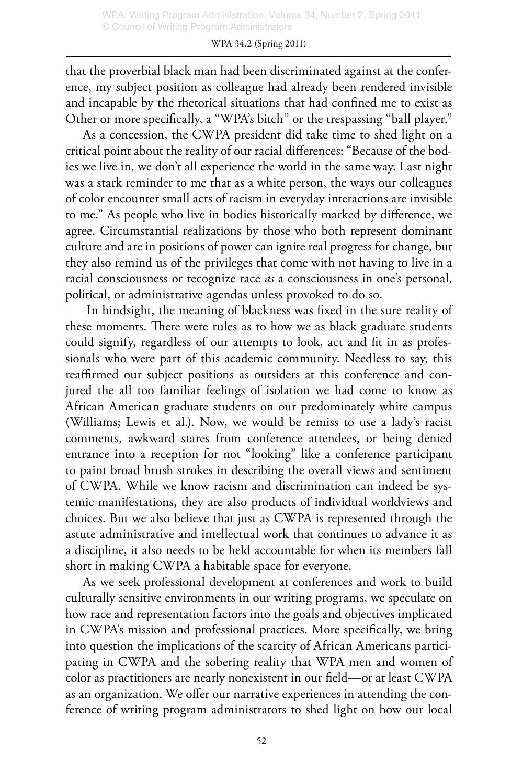that the proverbial black man had been discriminated against at the conference, my subject position as colleague had already been rendered invisible and incapable by the rhetorical situations that had confined me to exist as Other or more specifically, a "WPA's bitch" or the trespassing "ball player."

As a concession, the CWPA president did take time to shed light on a critical point about the reality of our racial differences: "Because of the bodies we live in, we don't all experience the world in the same way. Last night was a stark reminder to me that as a white person, the ways our colleagues of color encounter small acts of racism in everyday interactions are invisible to me." As people who live in bodies historically marked by difference, we agree. Circumstantial realizations by those who both represent dominant culture and are in positions of power can ignite real progress for change, but they also remind us of the privileges that come with not having to live in a racial consciousness or recognize race *as* a consciousness in one's personal, political, or administrative agendas unless provoked to do so.

 In hindsight, the meaning of blackness was fixed in the sure reality of these moments. There were rules as to how we as black graduate students could signify, regardless of our attempts to look, act and fit in as professionals who were part of this academic community. Needless to say, this reaffirmed our subject positions as outsiders at this conference and conjured the all too familiar feelings of isolation we had come to know as African American graduate students on our predominately white campus (Williams; Lewis et al.). Now, we would be remiss to use a lady's racist comments, awkward stares from conference attendees, or being denied entrance into a reception for not "looking" like a conference participant to paint broad brush strokes in describing the overall views and sentiment of CWPA. While we know racism and discrimination can indeed be systemic manifestations, they are also products of individual worldviews and choices. But we also believe that just as CWPA is represented through the astute administrative and intellectual work that continues to advance it as a discipline, it also needs to be held accountable for when its members fall short in making CWPA a habitable space for everyone.

As we seek professional development at conferences and work to build culturally sensitive environments in our writing programs, we speculate on how race and representation factors into the goals and objectives implicated in CWPA's mission and professional practices. More specifically, we bring into question the implications of the scarcity of African Americans participating in CWPA and the sobering reality that WPA men and women of color as practitioners are nearly nonexistent in our field—or at least CWPA as an organization. We offer our narrative experiences in attending the conference of writing program administrators to shed light on how our local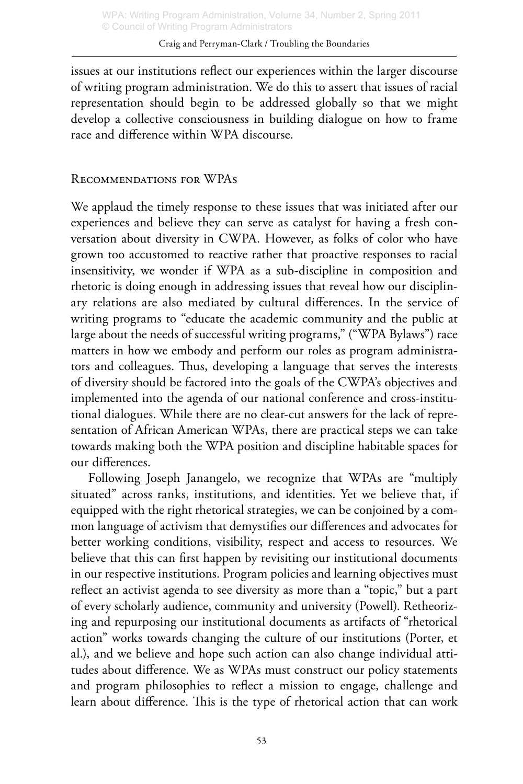issues at our institutions reflect our experiences within the larger discourse of writing program administration. We do this to assert that issues of racial representation should begin to be addressed globally so that we might develop a collective consciousness in building dialogue on how to frame race and difference within WPA discourse.

# Recommendations for WPAs

We applaud the timely response to these issues that was initiated after our experiences and believe they can serve as catalyst for having a fresh conversation about diversity in CWPA. However, as folks of color who have grown too accustomed to reactive rather that proactive responses to racial insensitivity, we wonder if WPA as a sub-discipline in composition and rhetoric is doing enough in addressing issues that reveal how our disciplinary relations are also mediated by cultural differences. In the service of writing programs to "educate the academic community and the public at large about the needs of successful writing programs," ("WPA Bylaws") race matters in how we embody and perform our roles as program administrators and colleagues. Thus, developing a language that serves the interests of diversity should be factored into the goals of the CWPA's objectives and implemented into the agenda of our national conference and cross-institutional dialogues. While there are no clear-cut answers for the lack of representation of African American WPAs, there are practical steps we can take towards making both the WPA position and discipline habitable spaces for our differences.

Following Joseph Janangelo, we recognize that WPAs are "multiply situated" across ranks, institutions, and identities. Yet we believe that, if equipped with the right rhetorical strategies, we can be conjoined by a common language of activism that demystifies our differences and advocates for better working conditions, visibility, respect and access to resources. We believe that this can first happen by revisiting our institutional documents in our respective institutions. Program policies and learning objectives must reflect an activist agenda to see diversity as more than a "topic," but a part of every scholarly audience, community and university (Powell). Retheorizing and repurposing our institutional documents as artifacts of "rhetorical action" works towards changing the culture of our institutions (Porter, et al.), and we believe and hope such action can also change individual attitudes about difference. We as WPAs must construct our policy statements and program philosophies to reflect a mission to engage, challenge and learn about difference. This is the type of rhetorical action that can work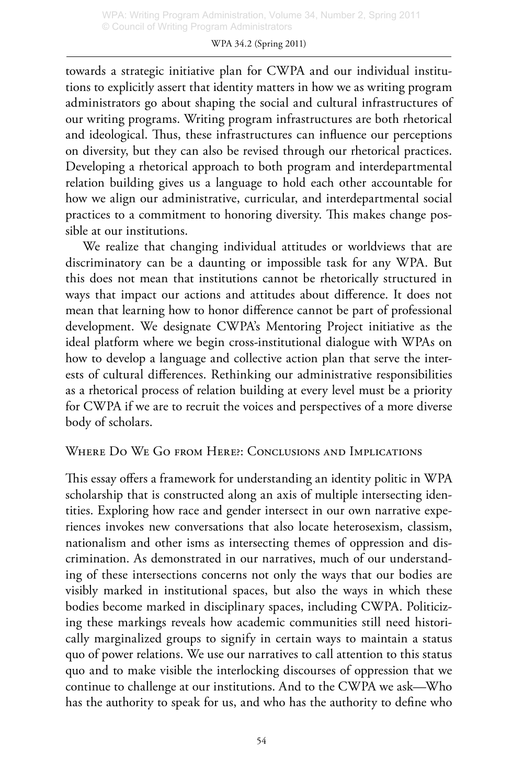#### WPA 34.2 (Spring 2011)

towards a strategic initiative plan for CWPA and our individual institutions to explicitly assert that identity matters in how we as writing program administrators go about shaping the social and cultural infrastructures of our writing programs. Writing program infrastructures are both rhetorical and ideological. Thus, these infrastructures can influence our perceptions on diversity, but they can also be revised through our rhetorical practices. Developing a rhetorical approach to both program and interdepartmental relation building gives us a language to hold each other accountable for how we align our administrative, curricular, and interdepartmental social practices to a commitment to honoring diversity. This makes change possible at our institutions.

We realize that changing individual attitudes or worldviews that are discriminatory can be a daunting or impossible task for any WPA. But this does not mean that institutions cannot be rhetorically structured in ways that impact our actions and attitudes about difference. It does not mean that learning how to honor difference cannot be part of professional development. We designate CWPA's Mentoring Project initiative as the ideal platform where we begin cross-institutional dialogue with WPAs on how to develop a language and collective action plan that serve the interests of cultural differences. Rethinking our administrative responsibilities as a rhetorical process of relation building at every level must be a priority for CWPA if we are to recruit the voices and perspectives of a more diverse body of scholars.

#### Where Do We Go from Here?: Conclusions and Implications

This essay offers a framework for understanding an identity politic in WPA scholarship that is constructed along an axis of multiple intersecting identities. Exploring how race and gender intersect in our own narrative experiences invokes new conversations that also locate heterosexism, classism, nationalism and other isms as intersecting themes of oppression and discrimination. As demonstrated in our narratives, much of our understanding of these intersections concerns not only the ways that our bodies are visibly marked in institutional spaces, but also the ways in which these bodies become marked in disciplinary spaces, including CWPA. Politicizing these markings reveals how academic communities still need historically marginalized groups to signify in certain ways to maintain a status quo of power relations. We use our narratives to call attention to this status quo and to make visible the interlocking discourses of oppression that we continue to challenge at our institutions. And to the CWPA we ask—Who has the authority to speak for us, and who has the authority to define who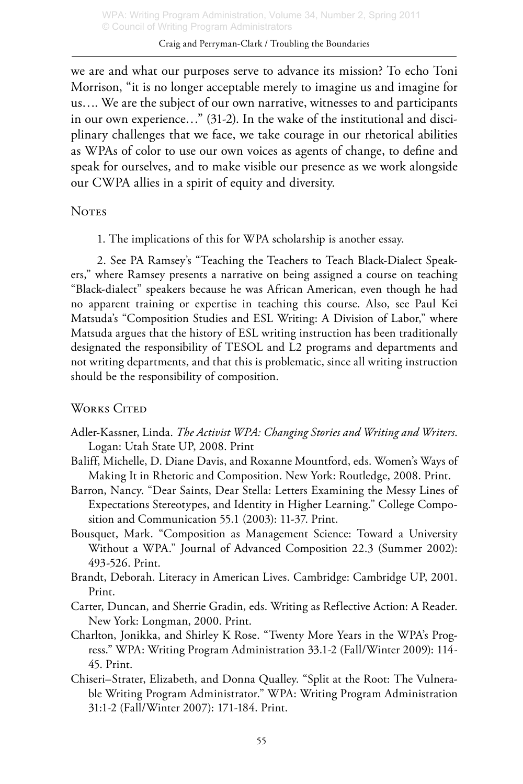we are and what our purposes serve to advance its mission? To echo Toni Morrison, "it is no longer acceptable merely to imagine us and imagine for us…. We are the subject of our own narrative, witnesses to and participants in our own experience…" (31-2). In the wake of the institutional and disciplinary challenges that we face, we take courage in our rhetorical abilities as WPAs of color to use our own voices as agents of change, to define and speak for ourselves, and to make visible our presence as we work alongside our CWPA allies in a spirit of equity and diversity.

### **NOTES**

1. The implications of this for WPA scholarship is another essay.

2. See PA Ramsey's "Teaching the Teachers to Teach Black-Dialect Speakers," where Ramsey presents a narrative on being assigned a course on teaching "Black-dialect" speakers because he was African American, even though he had no apparent training or expertise in teaching this course. Also, see Paul Kei Matsuda's "Composition Studies and ESL Writing: A Division of Labor," where Matsuda argues that the history of ESL writing instruction has been traditionally designated the responsibility of TESOL and L2 programs and departments and not writing departments, and that this is problematic, since all writing instruction should be the responsibility of composition.

# WORKS CITED

- Adler-Kassner, Linda. *The Activist WPA: Changing Stories and Writing and Writers*. Logan: Utah State UP, 2008. Print
- Baliff, Michelle, D. Diane Davis, and Roxanne Mountford, eds. Women's Ways of Making It in Rhetoric and Composition. New York: Routledge, 2008. Print.
- Barron, Nancy. "Dear Saints, Dear Stella: Letters Examining the Messy Lines of Expectations Stereotypes, and Identity in Higher Learning." College Composition and Communication 55.1 (2003): 11-37. Print.
- Bousquet, Mark. "Composition as Management Science: Toward a University Without a WPA." Journal of Advanced Composition 22.3 (Summer 2002): 493-526. Print.
- Brandt, Deborah. Literacy in American Lives. Cambridge: Cambridge UP, 2001. Print.
- Carter, Duncan, and Sherrie Gradin, eds. Writing as Reflective Action: A Reader. New York: Longman, 2000. Print.
- Charlton, Jonikka, and Shirley K Rose. "Twenty More Years in the WPA's Progress." WPA: Writing Program Administration 33.1-2 (Fall/Winter 2009): 114- 45. Print.
- Chiseri–Strater, Elizabeth, and Donna Qualley. "Split at the Root: The Vulnerable Writing Program Administrator." WPA: Writing Program Administration 31:1-2 (Fall/Winter 2007): 171-184. Print.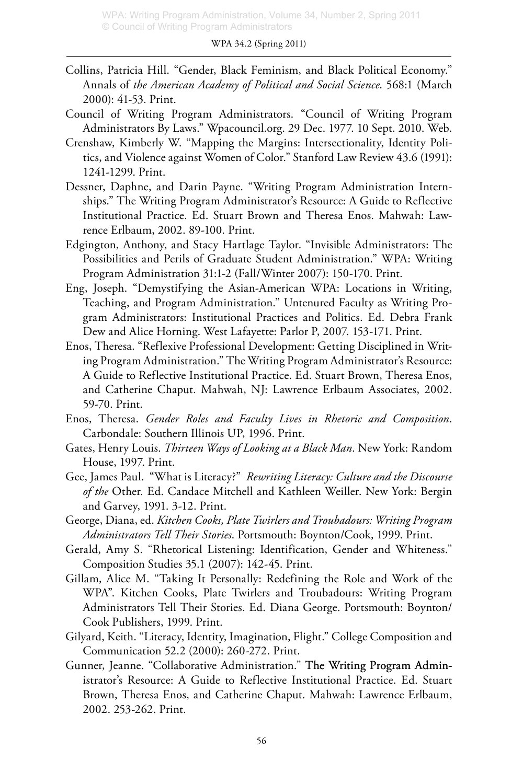- Collins, Patricia Hill. "Gender, Black Feminism, and Black Political Economy." Annals of *the American Academy of Political and Social Science*. 568:1 (March 2000): 41-53. Print.
- Council of Writing Program Administrators. "Council of Writing Program Administrators By Laws." Wpacouncil.org. 29 Dec. 1977. 10 Sept. 2010. Web.
- Crenshaw, Kimberly W. "Mapping the Margins: Intersectionality, Identity Politics, and Violence against Women of Color." Stanford Law Review 43.6 (1991): 1241-1299. Print.
- Dessner, Daphne, and Darin Payne. "Writing Program Administration Internships." The Writing Program Administrator's Resource: A Guide to Reflective Institutional Practice. Ed. Stuart Brown and Theresa Enos. Mahwah: Lawrence Erlbaum, 2002. 89-100. Print.
- Edgington, Anthony, and Stacy Hartlage Taylor. "Invisible Administrators: The Possibilities and Perils of Graduate Student Administration." WPA: Writing Program Administration 31:1-2 (Fall/Winter 2007): 150-170. Print.
- Eng, Joseph. "Demystifying the Asian-American WPA: Locations in Writing, Teaching, and Program Administration." Untenured Faculty as Writing Program Administrators: Institutional Practices and Politics. Ed. Debra Frank Dew and Alice Horning. West Lafayette: Parlor P, 2007. 153-171. Print.
- Enos, Theresa. "Reflexive Professional Development: Getting Disciplined in Writing Program Administration." The Writing Program Administrator's Resource: A Guide to Reflective Institutional Practice. Ed. Stuart Brown, Theresa Enos, and Catherine Chaput. Mahwah, NJ: Lawrence Erlbaum Associates, 2002. 59-70. Print.
- Enos, Theresa. *Gender Roles and Faculty Lives in Rhetoric and Composition*. Carbondale: Southern Illinois UP, 1996. Print.
- Gates, Henry Louis. *Thirteen Ways of Looking at a Black Man*. New York: Random House, 1997. Print.
- Gee, James Paul. "What is Literacy?" *Rewriting Literacy: Culture and the Discourse of the* Other*.* Ed. Candace Mitchell and Kathleen Weiller. New York: Bergin and Garvey, 1991. 3-12. Print.
- George, Diana, ed. *Kitchen Cooks, Plate Twirlers and Troubadours: Writing Program Administrators Tell Their Stories*. Portsmouth: Boynton/Cook, 1999. Print.
- Gerald, Amy S. "Rhetorical Listening: Identification, Gender and Whiteness." Composition Studies 35.1 (2007): 142-45. Print.
- Gillam, Alice M. "Taking It Personally: Redefining the Role and Work of the WPA". Kitchen Cooks, Plate Twirlers and Troubadours: Writing Program Administrators Tell Their Stories. Ed. Diana George. Portsmouth: Boynton/ Cook Publishers, 1999. Print.
- Gilyard, Keith. "Literacy, Identity, Imagination, Flight." College Composition and Communication 52.2 (2000): 260-272. Print.
- Gunner, Jeanne. "Collaborative Administration." The Writing Program Administrator's Resource: A Guide to Reflective Institutional Practice. Ed. Stuart Brown, Theresa Enos, and Catherine Chaput. Mahwah: Lawrence Erlbaum, 2002. 253-262. Print.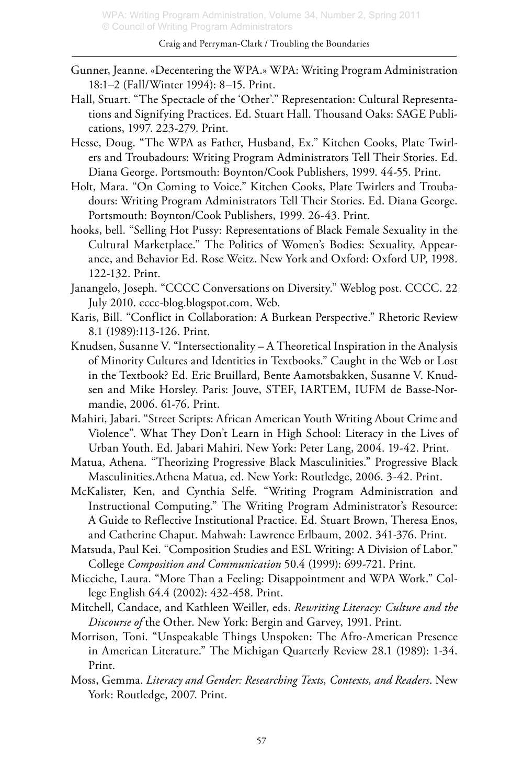- Gunner, Jeanne. «Decentering the WPA.» WPA: Writing Program Administration 18:1–2 (Fall/Winter 1994): 8–15. Print.
- Hall, Stuart. "The Spectacle of the 'Other'." Representation: Cultural Representations and Signifying Practices. Ed. Stuart Hall. Thousand Oaks: SAGE Publications, 1997. 223-279. Print.
- Hesse, Doug. "The WPA as Father, Husband, Ex." Kitchen Cooks, Plate Twirlers and Troubadours: Writing Program Administrators Tell Their Stories. Ed. Diana George. Portsmouth: Boynton/Cook Publishers, 1999. 44-55. Print.
- Holt, Mara. "On Coming to Voice." Kitchen Cooks, Plate Twirlers and Troubadours: Writing Program Administrators Tell Their Stories. Ed. Diana George. Portsmouth: Boynton/Cook Publishers, 1999. 26-43. Print.
- hooks, bell. "Selling Hot Pussy: Representations of Black Female Sexuality in the Cultural Marketplace." The Politics of Women's Bodies: Sexuality, Appearance, and Behavior Ed. Rose Weitz. New York and Oxford: Oxford UP, 1998. 122-132. Print.
- Janangelo, Joseph. "CCCC Conversations on Diversity." Weblog post. CCCC. 22 July 2010. cccc-blog.blogspot.com. Web.
- Karis, Bill. "Conflict in Collaboration: A Burkean Perspective." Rhetoric Review 8.1 (1989):113-126. Print.
- Knudsen, Susanne V. "Intersectionality A Theoretical Inspiration in the Analysis of Minority Cultures and Identities in Textbooks." Caught in the Web or Lost in the Textbook? Ed. Eric Bruillard, Bente Aamotsbakken, Susanne V. Knudsen and Mike Horsley. Paris: Jouve, STEF, IARTEM, IUFM de Basse-Normandie, 2006. 61-76. Print.
- Mahiri, Jabari. "Street Scripts: African American Youth Writing About Crime and Violence". What They Don't Learn in High School: Literacy in the Lives of Urban Youth. Ed. Jabari Mahiri. New York: Peter Lang, 2004. 19-42. Print.
- Matua, Athena. "Theorizing Progressive Black Masculinities." Progressive Black Masculinities.Athena Matua, ed. New York: Routledge, 2006. 3-42. Print.
- McKalister, Ken, and Cynthia Selfe. "Writing Program Administration and Instructional Computing." The Writing Program Administrator's Resource: A Guide to Reflective Institutional Practice. Ed. Stuart Brown, Theresa Enos, and Catherine Chaput. Mahwah: Lawrence Erlbaum, 2002. 341-376. Print.
- Matsuda, Paul Kei. "Composition Studies and ESL Writing: A Division of Labor." College *Composition and Communication* 50.4 (1999): 699-721. Print.
- Micciche, Laura. "More Than a Feeling: Disappointment and WPA Work." College English 64.4 (2002): 432-458. Print.
- Mitchell, Candace, and Kathleen Weiller, eds. *Rewriting Literacy: Culture and the Discourse of* the Other. New York: Bergin and Garvey, 1991. Print.
- Morrison, Toni. "Unspeakable Things Unspoken: The Afro-American Presence in American Literature." The Michigan Quarterly Review 28.1 (1989): 1-34. Print.
- Moss, Gemma. *Literacy and Gender: Researching Texts, Contexts, and Readers*. New York: Routledge, 2007. Print.